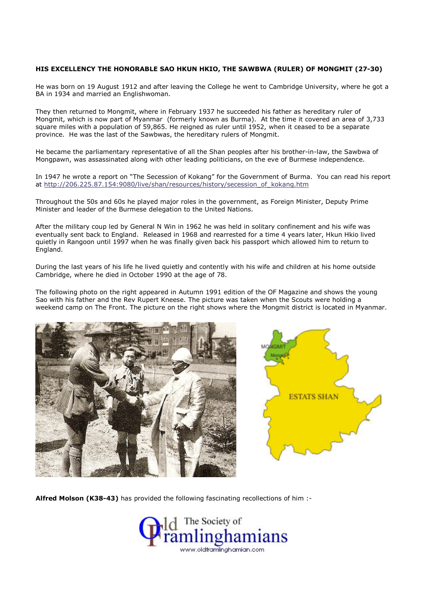## HIS EXCELLENCY THE HONORABLE SAO HKUN HKIO, THE SAWBWA (RULER) OF MONGMIT (27-30)

He was born on 19 August 1912 and after leaving the College he went to Cambridge University, where he got a BA in 1934 and married an Englishwoman.

They then returned to Mongmit, where in February 1937 he succeeded his father as hereditary ruler of Mongmit, which is now part of Myanmar (formerly known as Burma). At the time it covered an area of 3,733 square miles with a population of 59,865. He reigned as ruler until 1952, when it ceased to be a separate province. He was the last of the Sawbwas, the hereditary rulers of Mongmit.

He became the parliamentary representative of all the Shan peoples after his brother-in-law, the Sawbwa of Mongpawn, was assassinated along with other leading politicians, on the eve of Burmese independence.

In 1947 he wrote a report on "The Secession of Kokang" for the Government of Burma. You can read his report at http://206.225.87.154:9080/live/shan/resources/history/secession\_of\_kokang.htm

Throughout the 50s and 60s he played major roles in the government, as Foreign Minister, Deputy Prime Minister and leader of the Burmese delegation to the United Nations.

After the military coup led by General N Win in 1962 he was held in solitary confinement and his wife was eventually sent back to England. Released in 1968 and rearrested for a time 4 years later, Hkun Hkio lived quietly in Rangoon until 1997 when he was finally given back his passport which allowed him to return to England.

During the last years of his life he lived quietly and contently with his wife and children at his home outside Cambridge, where he died in October 1990 at the age of 78.

The following photo on the right appeared in Autumn 1991 edition of the OF Magazine and shows the young Sao with his father and the Rev Rupert Kneese. The picture was taken when the Scouts were holding a weekend camp on The Front. The picture on the right shows where the Mongmit district is located in Myanmar.





Alfred Molson (K38-43) has provided the following fascinating recollections of him :-